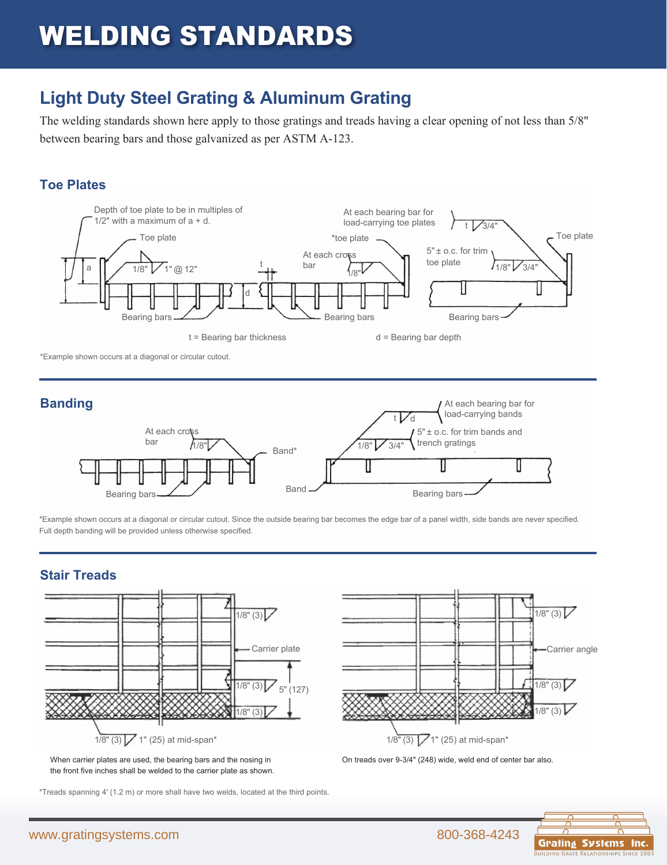## WELDING STANDARDS

### **Light Duty Steel Grating & Aluminum Grating**

The welding standards shown here apply to those gratings and treads having a clear opening of not less than 5/8" between bearing bars and those galvanized as per ASTM A-123.

#### **Toe Plates**



\*Example shown occurs at a diagonal or circular cutout.



\*Example shown occurs at a diagonal or circular cutout. Since the outside bearing bar becomes the edge bar of a panel width, side bands are never specified. Full depth banding will be provided unless otherwise specified.

#### **Stair Treads**



the front five inches shall be welded to the carrier plate as shown.

\*Treads spanning 4' (1.2 m) or more shall have two welds, located at the third points.



On treads over 9-3/4" (248) wide, weld end of center bar also.

RELATIONSHIPS